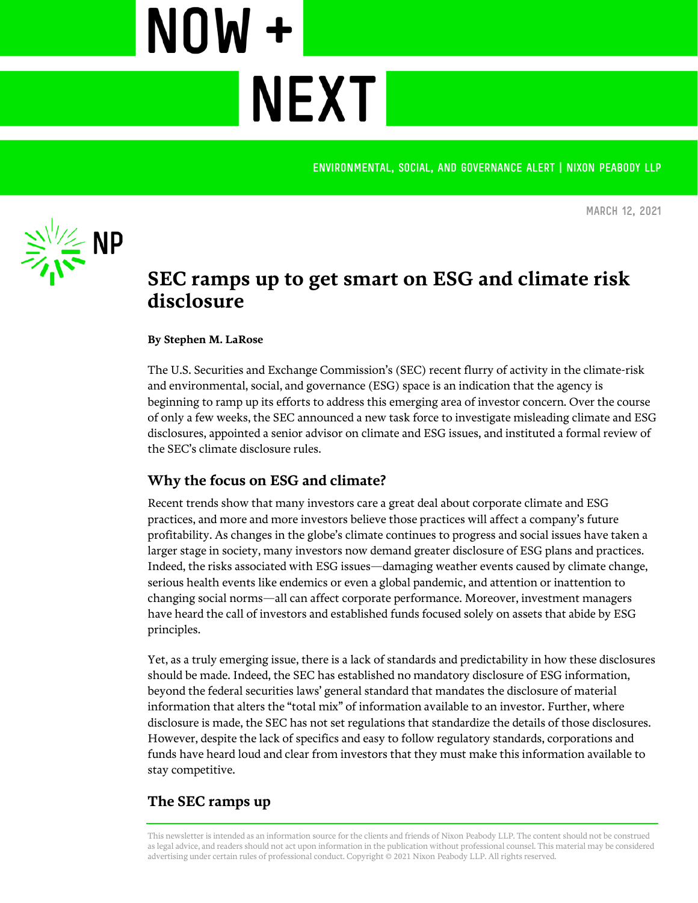**Environmental, Social, and Governance alert | Nixon Peabody LLP**



**March 12, 2021**

# **SEC ramps up to get smart on ESG and climate risk disclosure**

#### **By Stephen M. LaRose**

NOW +

**NEXT** 

The U.S. Securities and Exchange Commission's (SEC) recent flurry of activity in the climate-risk and environmental, social, and governance (ESG) space is an indication that the agency is beginning to ramp up its efforts to address this emerging area of investor concern. Over the course of only a few weeks, the SEC announced a new task force to investigate misleading climate and ESG disclosures, appointed a senior advisor on climate and ESG issues, and instituted a formal review of the SEC's climate disclosure rules.

## **Why the focus on ESG and climate?**

Recent trends show that many investors care a great deal about corporate climate and ESG practices, and more and more investors believe those practices will affect a company's future profitability. As changes in the globe's climate continues to progress and social issues have taken a larger stage in society, many investors now demand greater disclosure of ESG plans and practices. Indeed, the risks associated with ESG issues—damaging weather events caused by climate change, serious health events like endemics or even a global pandemic, and attention or inattention to changing social norms—all can affect corporate performance. Moreover, investment managers have heard the call of investors and established funds focused solely on assets that abide by ESG principles.

Yet, as a truly emerging issue, there is a lack of standards and predictability in how these disclosures should be made. Indeed, the SEC has established no mandatory disclosure of ESG information, beyond the federal securities laws' general standard that mandates the disclosure of material information that alters the "total mix" of information available to an investor. Further, where disclosure is made, the SEC has not set regulations that standardize the details of those disclosures. However, despite the lack of specifics and easy to follow regulatory standards, corporations and funds have heard loud and clear from investors that they must make this information available to stay competitive.

## **The SEC ramps up**

This newsletter is intended as an information source for the clients and friends of Nixon Peabody LLP. The content should not be construed as legal advice, and readers should not act upon information in the publication without professional counsel. This material may be considered advertising under certain rules of professional conduct. Copyright © 2021 Nixon Peabody LLP. All rights reserved.